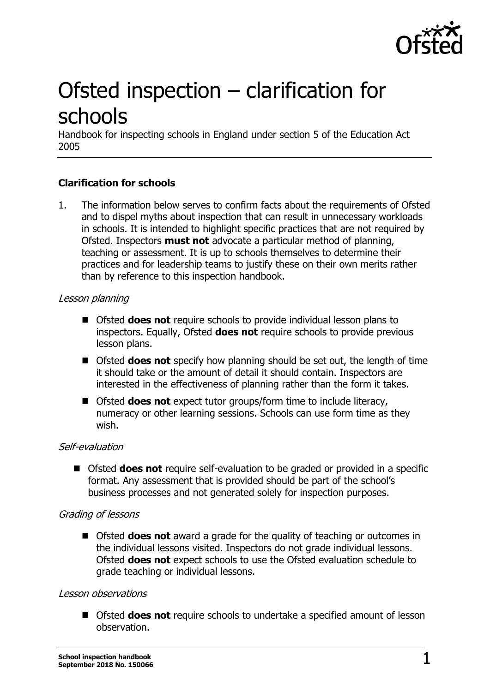

# Ofsted inspection – clarification for schools

Handbook for inspecting schools in England under section 5 of the Education Act 2005

# **Clarification for schools**

1. The information below serves to confirm facts about the requirements of Ofsted and to dispel myths about inspection that can result in unnecessary workloads in schools. It is intended to highlight specific practices that are not required by Ofsted. Inspectors **must not** advocate a particular method of planning, teaching or assessment. It is up to schools themselves to determine their practices and for leadership teams to justify these on their own merits rather than by reference to this inspection handbook.

#### Lesson planning

- Ofsted **does not** require schools to provide individual lesson plans to inspectors. Equally, Ofsted **does not** require schools to provide previous lesson plans.
- Ofsted **does not** specify how planning should be set out, the length of time it should take or the amount of detail it should contain. Inspectors are interested in the effectiveness of planning rather than the form it takes.
- Ofsted **does not** expect tutor groups/form time to include literacy, numeracy or other learning sessions. Schools can use form time as they wish.

# Self-evaluation

■ Ofsted **does not** require self-evaluation to be graded or provided in a specific format. Any assessment that is provided should be part of the school's business processes and not generated solely for inspection purposes.

# Grading of lessons

■ Ofsted **does not** award a grade for the quality of teaching or outcomes in the individual lessons visited. Inspectors do not grade individual lessons. Ofsted **does not** expect schools to use the Ofsted evaluation schedule to grade teaching or individual lessons.

#### Lesson observations

■ Ofsted **does not** require schools to undertake a specified amount of lesson observation.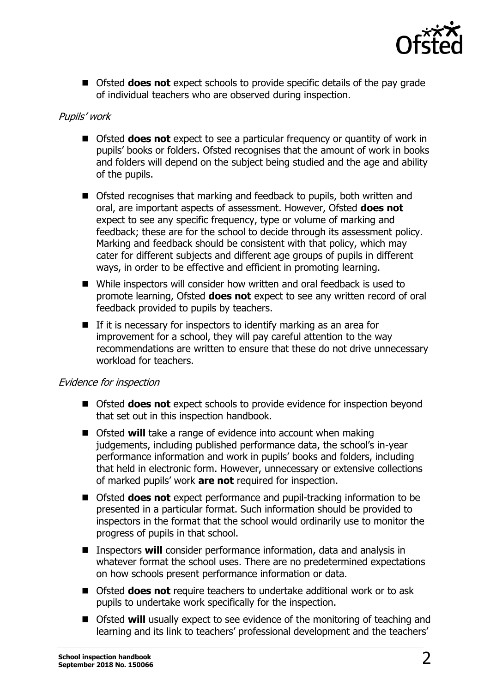

■ Ofsted **does not** expect schools to provide specific details of the pay grade of individual teachers who are observed during inspection.

# Pupils' work

- Ofsted **does not** expect to see a particular frequency or quantity of work in pupils' books or folders. Ofsted recognises that the amount of work in books and folders will depend on the subject being studied and the age and ability of the pupils.
- Ofsted recognises that marking and feedback to pupils, both written and oral, are important aspects of assessment. However, Ofsted **does not** expect to see any specific frequency, type or volume of marking and feedback; these are for the school to decide through its assessment policy. Marking and feedback should be consistent with that policy, which may cater for different subjects and different age groups of pupils in different ways, in order to be effective and efficient in promoting learning.
- While inspectors will consider how written and oral feedback is used to promote learning, Ofsted **does not** expect to see any written record of oral feedback provided to pupils by teachers.
- $\blacksquare$  If it is necessary for inspectors to identify marking as an area for improvement for a school, they will pay careful attention to the way recommendations are written to ensure that these do not drive unnecessary workload for teachers.

#### Evidence for inspection

- Ofsted **does not** expect schools to provide evidence for inspection beyond that set out in this inspection handbook.
- Ofsted **will** take a range of evidence into account when making judgements, including published performance data, the school's in-year performance information and work in pupils' books and folders, including that held in electronic form. However, unnecessary or extensive collections of marked pupils' work **are not** required for inspection.
- Ofsted **does not** expect performance and pupil-tracking information to be presented in a particular format. Such information should be provided to inspectors in the format that the school would ordinarily use to monitor the progress of pupils in that school.
- Inspectors **will** consider performance information, data and analysis in whatever format the school uses. There are no predetermined expectations on how schools present performance information or data.
- Ofsted **does not** require teachers to undertake additional work or to ask pupils to undertake work specifically for the inspection.
- Ofsted **will** usually expect to see evidence of the monitoring of teaching and learning and its link to teachers' professional development and the teachers'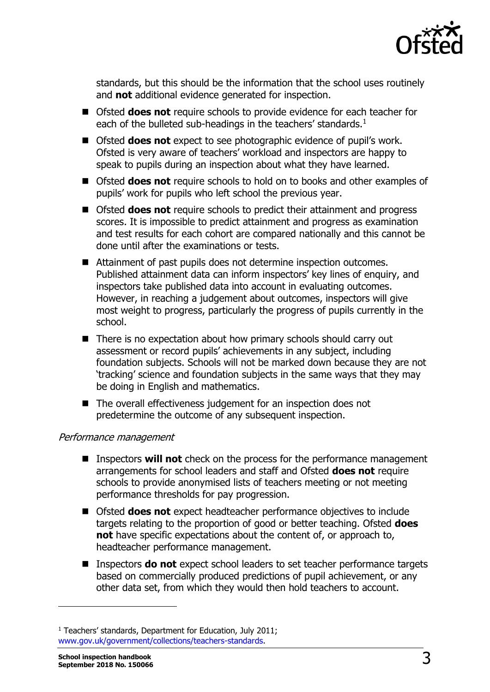

standards, but this should be the information that the school uses routinely and **not** additional evidence generated for inspection.

- Ofsted **does not** require schools to provide evidence for each teacher for each of the bulleted sub-headings in the teachers' standards.<sup>1</sup>
- Ofsted **does not** expect to see photographic evidence of pupil's work. Ofsted is very aware of teachers' workload and inspectors are happy to speak to pupils during an inspection about what they have learned.
- Ofsted **does not** require schools to hold on to books and other examples of pupils' work for pupils who left school the previous year.
- Ofsted **does not** require schools to predict their attainment and progress scores. It is impossible to predict attainment and progress as examination and test results for each cohort are compared nationally and this cannot be done until after the examinations or tests.
- Attainment of past pupils does not determine inspection outcomes. Published attainment data can inform inspectors' key lines of enquiry, and inspectors take published data into account in evaluating outcomes. However, in reaching a judgement about outcomes, inspectors will give most weight to progress, particularly the progress of pupils currently in the school.
- There is no expectation about how primary schools should carry out assessment or record pupils' achievements in any subject, including foundation subjects. Schools will not be marked down because they are not 'tracking' science and foundation subjects in the same ways that they may be doing in English and mathematics.
- The overall effectiveness judgement for an inspection does not predetermine the outcome of any subsequent inspection.

# Performance management

- Inspectors **will not** check on the process for the performance management arrangements for school leaders and staff and Ofsted **does not** require schools to provide anonymised lists of teachers meeting or not meeting performance thresholds for pay progression.
- Ofsted **does not** expect headteacher performance objectives to include targets relating to the proportion of good or better teaching. Ofsted **does not** have specific expectations about the content of, or approach to, headteacher performance management.
- Inspectors **do not** expect school leaders to set teacher performance targets based on commercially produced predictions of pupil achievement, or any other data set, from which they would then hold teachers to account.

j

<sup>&</sup>lt;sup>1</sup> Teachers' standards, Department for Education, July 2011; [www.gov.uk/government/collections/teachers-standards.](http://www.gov.uk/government/collections/teachers-standards)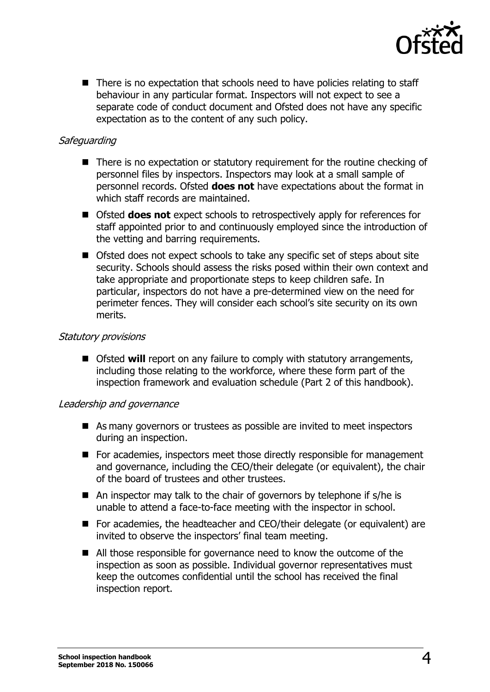

 $\blacksquare$  There is no expectation that schools need to have policies relating to staff behaviour in any particular format. Inspectors will not expect to see a separate code of conduct document and Ofsted does not have any specific expectation as to the content of any such policy.

## **Safeguarding**

- There is no expectation or statutory requirement for the routine checking of personnel files by inspectors. Inspectors may look at a small sample of personnel records. Ofsted **does not** have expectations about the format in which staff records are maintained.
- Ofsted **does not** expect schools to retrospectively apply for references for staff appointed prior to and continuously employed since the introduction of the vetting and barring requirements.
- Ofsted does not expect schools to take any specific set of steps about site security. Schools should assess the risks posed within their own context and take appropriate and proportionate steps to keep children safe. In particular, inspectors do not have a pre-determined view on the need for perimeter fences. They will consider each school's site security on its own merits.

#### Statutory provisions

■ Ofsted **will** report on any failure to comply with statutory arrangements, including those relating to the workforce, where these form part of the inspection framework and evaluation schedule (Part 2 of this handbook).

#### Leadership and governance

- As many governors or trustees as possible are invited to meet inspectors during an inspection.
- For academies, inspectors meet those directly responsible for management and governance, including the CEO/their delegate (or equivalent), the chair of the board of trustees and other trustees.
- $\blacksquare$  An inspector may talk to the chair of governors by telephone if s/he is unable to attend a face-to-face meeting with the inspector in school.
- For academies, the headteacher and CEO/their delegate (or equivalent) are invited to observe the inspectors' final team meeting.
- All those responsible for governance need to know the outcome of the inspection as soon as possible. Individual governor representatives must keep the outcomes confidential until the school has received the final inspection report.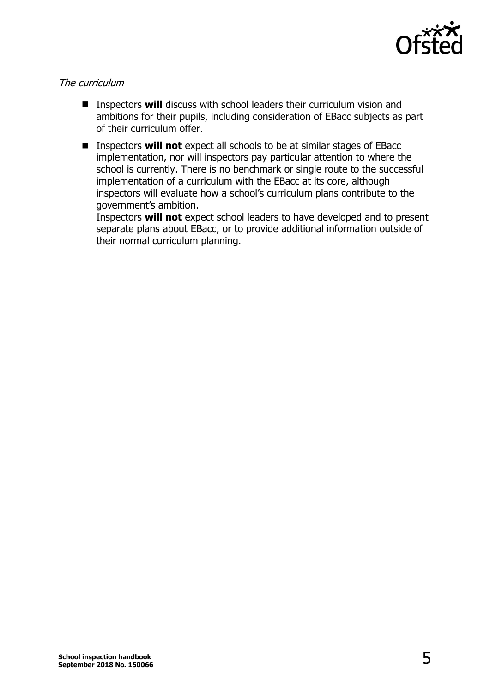

## The curriculum

- Inspectors **will** discuss with school leaders their curriculum vision and ambitions for their pupils, including consideration of EBacc subjects as part of their curriculum offer.
- Inspectors **will not** expect all schools to be at similar stages of EBacc implementation, nor will inspectors pay particular attention to where the school is currently. There is no benchmark or single route to the successful implementation of a curriculum with the EBacc at its core, although inspectors will evaluate how a school's curriculum plans contribute to the government's ambition.

Inspectors **will not** expect school leaders to have developed and to present separate plans about EBacc, or to provide additional information outside of their normal curriculum planning.